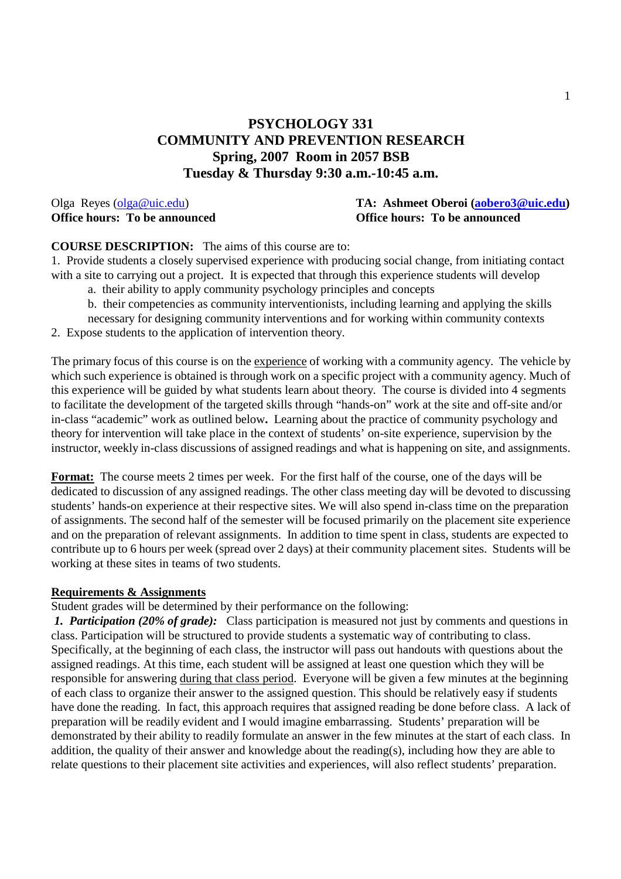# **PSYCHOLOGY 331 COMMUNITY AND PREVENTION RESEARCH Spring, 2007 Room in 2057 BSB Tuesday & Thursday 9:30 a.m.-10:45 a.m.**

# Olga Reyes (olga@uic.edu) **TA: Ashmeet Oberoi (aobero3@uic.edu) Office hours: To be announced Office hours: To be announced**

# **COURSE DESCRIPTION:** The aims of this course are to:

1. Provide students a closely supervised experience with producing social change, from initiating contact with a site to carrying out a project. It is expected that through this experience students will develop a. their ability to apply community psychology principles and concepts

b. their competencies as community interventionists, including learning and applying the skills necessary for designing community interventions and for working within community contexts

2. Expose students to the application of intervention theory.

The primary focus of this course is on the experience of working with a community agency. The vehicle by which such experience is obtained is through work on a specific project with a community agency. Much of this experience will be guided by what students learn about theory. The course is divided into 4 segments to facilitate the development of the targeted skills through "hands-on" work at the site and off-site and/or in-class "academic" work as outlined below**.** Learning about the practice of community psychology and theory for intervention will take place in the context of students' on-site experience, supervision by the instructor, weekly in-class discussions of assigned readings and what is happening on site, and assignments.

**Format:** The course meets 2 times per week. For the first half of the course, one of the days will be dedicated to discussion of any assigned readings. The other class meeting day will be devoted to discussing students' hands-on experience at their respective sites. We will also spend in-class time on the preparation of assignments. The second half of the semester will be focused primarily on the placement site experience and on the preparation of relevant assignments. In addition to time spent in class, students are expected to contribute up to 6 hours per week (spread over 2 days) at their community placement sites. Students will be working at these sites in teams of two students.

#### **Requirements & Assignments**

Student grades will be determined by their performance on the following:

*1. Participation (20% of grade):* Class participation is measured not just by comments and questions in class. Participation will be structured to provide students a systematic way of contributing to class. Specifically, at the beginning of each class, the instructor will pass out handouts with questions about the assigned readings. At this time, each student will be assigned at least one question which they will be responsible for answering during that class period. Everyone will be given a few minutes at the beginning of each class to organize their answer to the assigned question. This should be relatively easy if students have done the reading. In fact, this approach requires that assigned reading be done before class. A lack of preparation will be readily evident and I would imagine embarrassing. Students' preparation will be demonstrated by their ability to readily formulate an answer in the few minutes at the start of each class. In addition, the quality of their answer and knowledge about the reading(s), including how they are able to relate questions to their placement site activities and experiences, will also reflect students' preparation.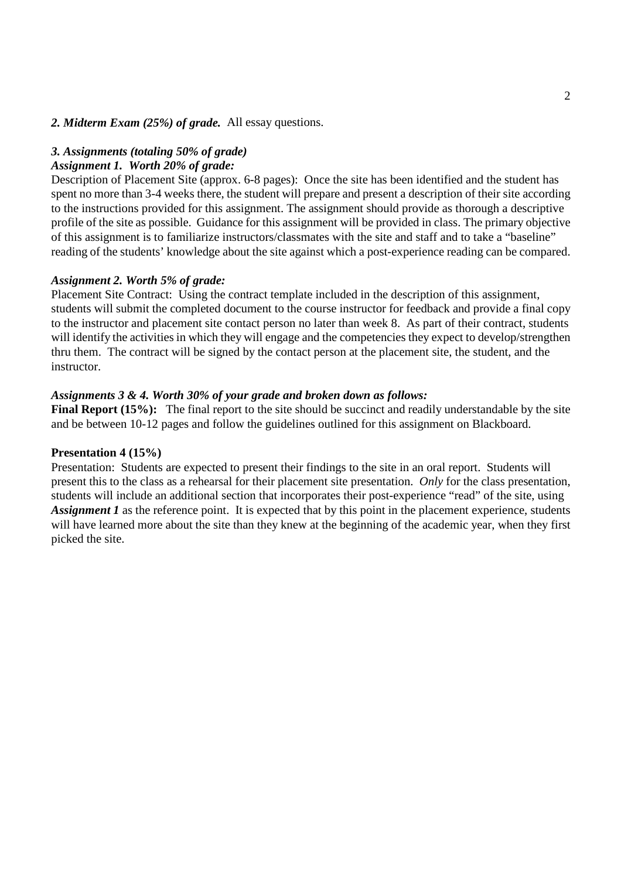#### *2. Midterm Exam (25%) of grade.* All essay questions.

#### *3. Assignments (totaling 50% of grade)*

#### *Assignment 1. Worth 20% of grade:*

Description of Placement Site (approx. 6-8 pages):Once the site has been identified and the student has spent no more than 3-4 weeks there, the student will prepare and present a description of their site according to the instructions provided for this assignment. The assignment should provide as thorough a descriptive profile of the site as possible. Guidance for this assignment will be provided in class. The primary objective of this assignment is to familiarize instructors/classmates with the site and staff and to take a "baseline" reading of the students' knowledge about the site against which a post-experience reading can be compared.

#### *Assignment 2. Worth 5% of grade:*

Placement Site Contract: Using the contract template included in the description of this assignment, students will submit the completed document to the course instructor for feedback and provide a final copy to the instructor and placement site contact person no later than week 8. As part of their contract, students will identify the activities in which they will engage and the competencies they expect to develop/strengthen thru them. The contract will be signed by the contact person at the placement site, the student, and the instructor.

#### *Assignments 3 & 4. Worth 30% of your grade and broken down as follows:*

**Final Report (15%):** The final report to the site should be succinct and readily understandable by the site and be between 10-12 pages and follow the guidelines outlined for this assignment on Blackboard.

#### **Presentation 4 (15%)**

Presentation: Students are expected to present their findings to the site in an oral report. Students will present this to the class as a rehearsal for their placement site presentation. *Only* for the class presentation, students will include an additional section that incorporates their post-experience "read" of the site, using *Assignment 1* as the reference point. It is expected that by this point in the placement experience, students will have learned more about the site than they knew at the beginning of the academic year, when they first picked the site.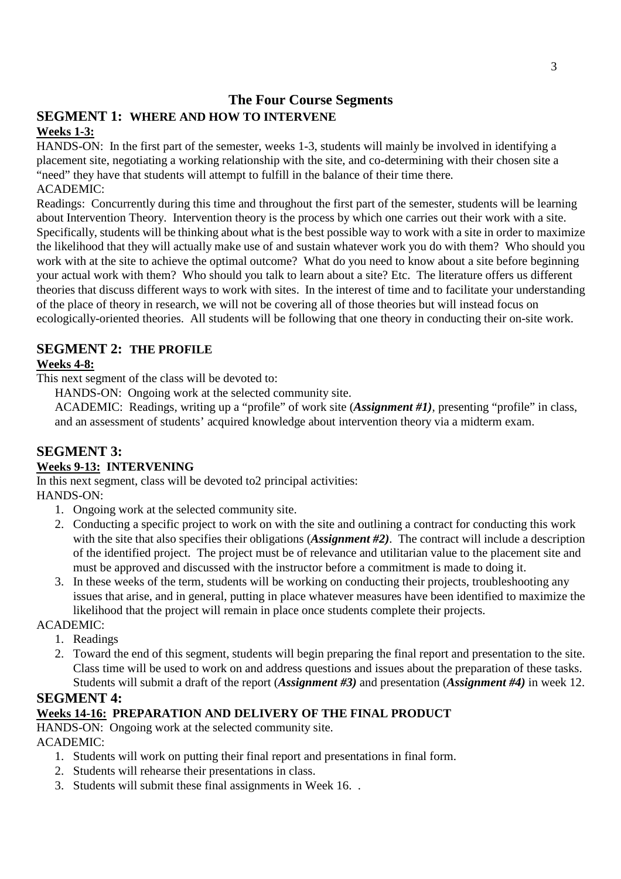# **The Four Course Segments**

# **SEGMENT 1: WHERE AND HOW TO INTERVENE**

# **Weeks 1-3:**

HANDS-ON: In the first part of the semester, weeks 1-3, students will mainly be involved in identifying a placement site, negotiating a working relationship with the site, and co-determining with their chosen site a "need" they have that students will attempt to fulfill in the balance of their time there.

# ACADEMIC:

Readings: Concurrently during this time and throughout the first part of the semester, students will be learning about Intervention Theory. Intervention theory is the process by which one carries out their work with a site. Specifically, students will be thinking about *w*hat is the best possible way to work with a site in order to maximize the likelihood that they will actually make use of and sustain whatever work you do with them? Who should you work with at the site to achieve the optimal outcome? What do you need to know about a site before beginning your actual work with them? Who should you talk to learn about a site? Etc. The literature offers us different theories that discuss different ways to work with sites. In the interest of time and to facilitate your understanding of the place of theory in research, we will not be covering all of those theories but will instead focus on ecologically-oriented theories. All students will be following that one theory in conducting their on-site work.

# **SEGMENT 2: THE PROFILE**

# **Weeks 4-8:**

This next segment of the class will be devoted to:

HANDS-ON: Ongoing work at the selected community site.

ACADEMIC: Readings, writing up a "profile" of work site (*Assignment #1)*, presenting "profile" in class, and an assessment of students' acquired knowledge about intervention theory via a midterm exam.

# **SEGMENT 3:**

# **Weeks 9-13: INTERVENING**

In this next segment, class will be devoted to2 principal activities: HANDS-ON:

- 1. Ongoing work at the selected community site.
- 2. Conducting a specific project to work on with the site and outlining a contract for conducting this work with the site that also specifies their obligations (*Assignment #2*). The contract will include a description of the identified project. The project must be of relevance and utilitarian value to the placement site and must be approved and discussed with the instructor before a commitment is made to doing it.
- 3. In these weeks of the term, students will be working on conducting their projects, troubleshooting any issues that arise, and in general, putting in place whatever measures have been identified to maximize the likelihood that the project will remain in place once students complete their projects.

# ACADEMIC:

- 1. Readings
- 2. Toward the end of this segment, students will begin preparing the final report and presentation to the site. Class time will be used to work on and address questions and issues about the preparation of these tasks. Students will submit a draft of the report (*Assignment #3)* and presentation (*Assignment #4)* in week 12.

# **SEGMENT 4:**

# **Weeks 14-16: PREPARATION AND DELIVERY OF THE FINAL PRODUCT**

HANDS-ON: Ongoing work at the selected community site.

# ACADEMIC:

- 1. Students will work on putting their final report and presentations in final form.
- 2. Students will rehearse their presentations in class.
- 3. Students will submit these final assignments in Week 16. .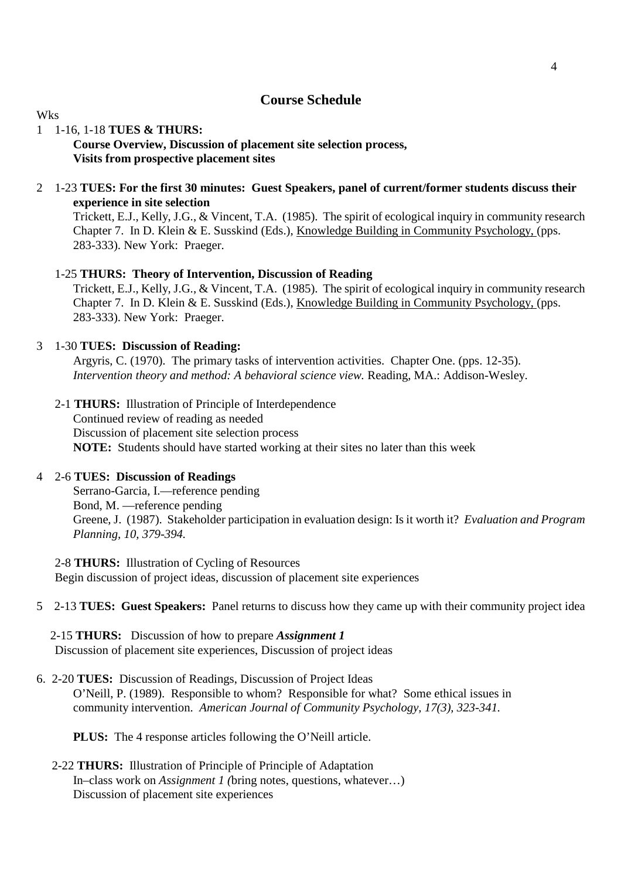# **Course Schedule**

#### Wks

# 1 1-16, 1-18 **TUES & THURS:**

# **Course Overview, Discussion of placement site selection process, Visits from prospective placement sites**

#### 2 1-23 **TUES: For the first 30 minutes: Guest Speakers, panel of current/former students discuss their experience in site selection**

 Trickett, E.J., Kelly, J.G., & Vincent, T.A. (1985). The spirit of ecological inquiry in community research Chapter 7. In D. Klein & E. Susskind (Eds.), Knowledge Building in Community Psychology, (pps. 283-333). New York: Praeger.

#### 1-25 **THURS: Theory of Intervention, Discussion of Reading**

 Trickett, E.J., Kelly, J.G., & Vincent, T.A. (1985). The spirit of ecological inquiry in community research Chapter 7. In D. Klein & E. Susskind (Eds.), Knowledge Building in Community Psychology, (pps. 283-333). New York: Praeger.

#### 3 1-30 **TUES: Discussion of Reading:**

 Argyris, C. (1970). The primary tasks of intervention activities. Chapter One. (pps. 12-35). *Intervention theory and method: A behavioral science view.* Reading, MA.: Addison-Wesley.

2-1 **THURS:** Illustration of Principle of Interdependence Continued review of reading as needed Discussion of placement site selection process **NOTE:** Students should have started working at their sites no later than this week

#### 4 2-6 **TUES: Discussion of Readings**

 Serrano-Garcia, I.—reference pending Bond, M. —reference pending Greene, J. (1987). Stakeholder participation in evaluation design: Is it worth it? *Evaluation and Program Planning, 10, 379-394.* 

- 2-8 **THURS:** Illustration of Cycling of Resources Begin discussion of project ideas, discussion of placement site experiences
- 5 2-13 **TUES: Guest Speakers:** Panel returns to discuss how they came up with their community project idea

2-15 **THURS:** Discussion of how to prepare *Assignment 1* Discussion of placement site experiences, Discussion of project ideas

6. 2-20 **TUES:** Discussion of Readings, Discussion of Project Ideas O'Neill, P. (1989). Responsible to whom? Responsible for what? Some ethical issues in community intervention. *American Journal of Community Psychology, 17(3), 323-341.* 

 **PLUS:** The 4 response articles following the O'Neill article.

### 2-22 **THURS:** Illustration of Principle of Principle of Adaptation In–class work on *Assignment 1 (*bring notes, questions, whatever…) Discussion of placement site experiences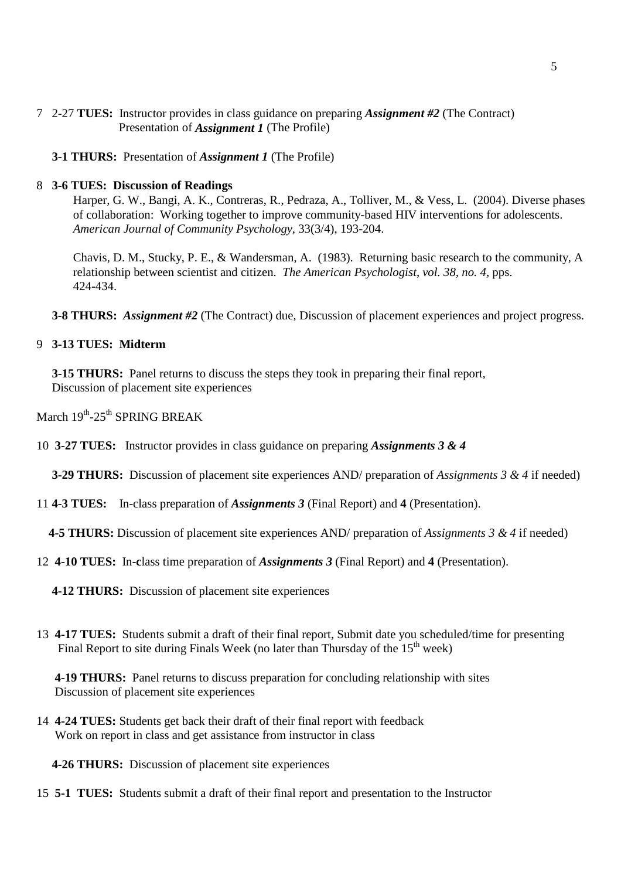- 7 2-27 **TUES:** Instructor provides in class guidance on preparing *Assignment #2* (The Contract) Presentation of *Assignment 1* (The Profile)
	- **3-1 THURS:** Presentation of *Assignment 1* (The Profile)

#### 8 **3-6 TUES: Discussion of Readings**

 Harper, G. W., Bangi, A. K., Contreras, R., Pedraza, A., Tolliver, M., & Vess, L. (2004). Diverse phases of collaboration: Working together to improve community-based HIV interventions for adolescents. *American Journal of Community Psychology*, 33(3/4), 193-204.

 Chavis, D. M., Stucky, P. E., & Wandersman, A. (1983). Returning basic research to the community, A relationship between scientist and citizen. *The American Psychologist, vol. 38, no. 4*, pps. 424-434.

 **3-8 THURS:** *Assignment #2* (The Contract) due, Discussion of placement experiences and project progress.

### 9 **3-13 TUES: Midterm**

**3-15 THURS:** Panel returns to discuss the steps they took in preparing their final report, Discussion of placement site experiences

- March  $19^{th}$ -25<sup>th</sup> SPRING BREAK
- 10 **3-27 TUES:** Instructor provides in class guidance on preparing *Assignments 3 & 4*

 **3-29 THURS:** Discussion of placement site experiences AND/ preparation of *Assignments 3 & 4* if needed)

11 **4-3 TUES:** In-class preparation of *Assignments 3* (Final Report) and **4** (Presentation).

**4-5 THURS:** Discussion of placement site experiences AND/ preparation of *Assignments 3 & 4* if needed)

- 12 **4-10 TUES:** In**-c**lass time preparation of *Assignments 3* (Final Report) and **4** (Presentation).
	- **4-12 THURS:** Discussion of placement site experiences
- 13 **4-17 TUES:** Students submit a draft of their final report, Submit date you scheduled/time for presenting Final Report to site during Finals Week (no later than Thursday of the  $15<sup>th</sup>$  week)

 **4-19 THURS:** Panel returns to discuss preparation for concluding relationship with sites Discussion of placement site experiences

14 **4-24 TUES:** Students get back their draft of their final report with feedback Work on report in class and get assistance from instructor in class

**4-26 THURS:** Discussion of placement site experiences

15 **5-1 TUES:** Students submit a draft of their final report and presentation to the Instructor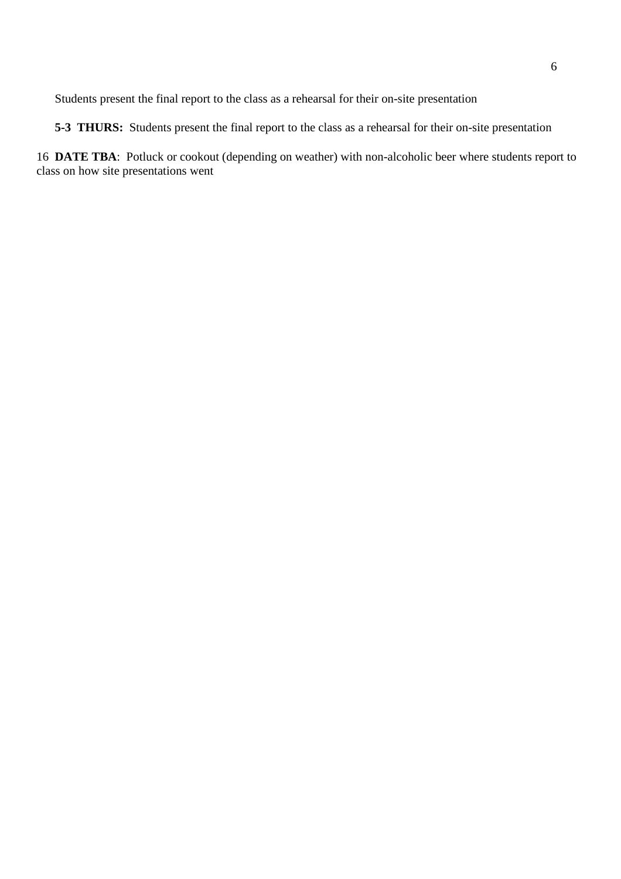Students present the final report to the class as a rehearsal for their on-site presentation

**5-3 THURS:** Students present the final report to the class as a rehearsal for their on-site presentation

16 **DATE TBA**: Potluck or cookout (depending on weather) with non-alcoholic beer where students report to class on how site presentations went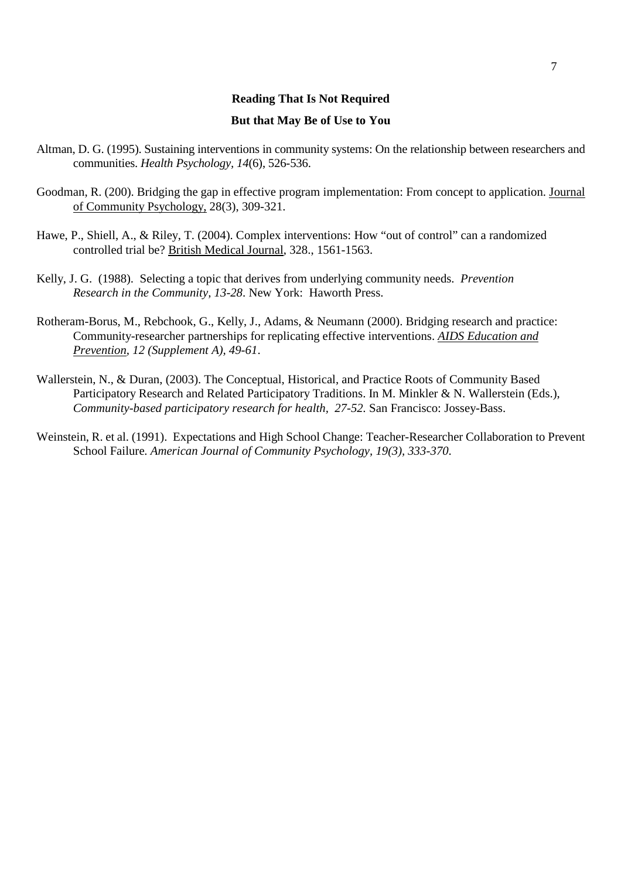# **Reading That Is Not Required But that May Be of Use to You**

- Altman, D. G. (1995). Sustaining interventions in community systems: On the relationship between researchers and communities. *Health Psychology, 14*(6), 526-536.
- Goodman, R. (200). Bridging the gap in effective program implementation: From concept to application. Journal of Community Psychology, 28(3), 309-321.
- Hawe, P., Shiell, A., & Riley, T. (2004). Complex interventions: How "out of control" can a randomized controlled trial be? British Medical Journal, 328., 1561-1563.
- Kelly, J. G. (1988). Selecting a topic that derives from underlying community needs. *Prevention Research in the Community, 13-28*. New York: Haworth Press.
- Rotheram-Borus, M., Rebchook, G., Kelly, J., Adams, & Neumann (2000). Bridging research and practice: Community-researcher partnerships for replicating effective interventions. *AIDS Education and Prevention, 12 (Supplement A), 49-61*.
- Wallerstein, N., & Duran, (2003). The Conceptual, Historical, and Practice Roots of Community Based Participatory Research and Related Participatory Traditions. In M. Minkler & N. Wallerstein (Eds.), *Community-based participatory research for health, 27-52.* San Francisco: Jossey-Bass.
- Weinstein, R. et al. (1991). Expectations and High School Change: Teacher-Researcher Collaboration to Prevent School Failure. *American Journal of Community Psychology, 19(3), 333-370*.